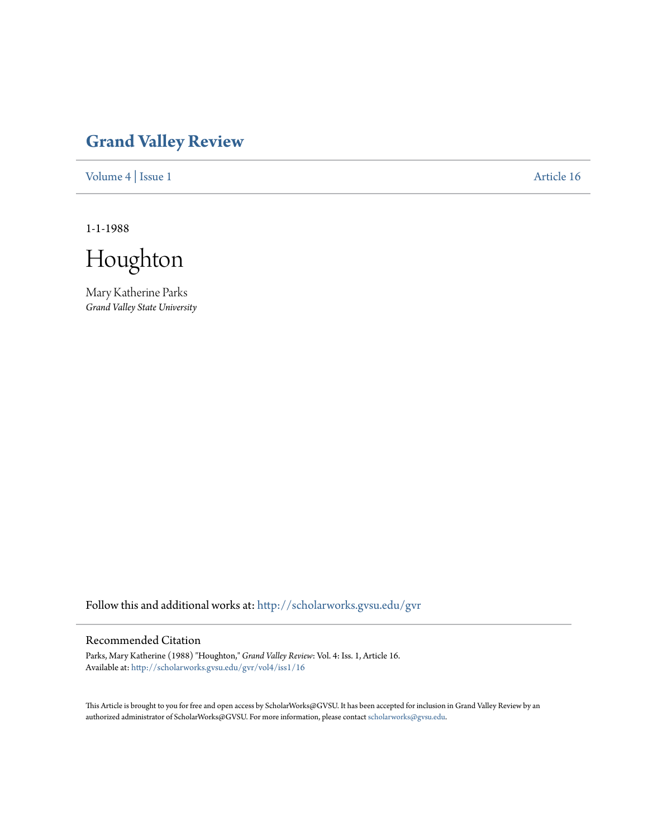## **[Grand Valley Review](http://scholarworks.gvsu.edu/gvr?utm_source=scholarworks.gvsu.edu%2Fgvr%2Fvol4%2Fiss1%2F16&utm_medium=PDF&utm_campaign=PDFCoverPages)**

[Volume 4](http://scholarworks.gvsu.edu/gvr/vol4?utm_source=scholarworks.gvsu.edu%2Fgvr%2Fvol4%2Fiss1%2F16&utm_medium=PDF&utm_campaign=PDFCoverPages) | [Issue 1](http://scholarworks.gvsu.edu/gvr/vol4/iss1?utm_source=scholarworks.gvsu.edu%2Fgvr%2Fvol4%2Fiss1%2F16&utm_medium=PDF&utm_campaign=PDFCoverPages) [Article 16](http://scholarworks.gvsu.edu/gvr/vol4/iss1/16?utm_source=scholarworks.gvsu.edu%2Fgvr%2Fvol4%2Fiss1%2F16&utm_medium=PDF&utm_campaign=PDFCoverPages)

1-1-1988

Houghton

Mary Katherine Parks *Grand Valley State University*

Follow this and additional works at: [http://scholarworks.gvsu.edu/gvr](http://scholarworks.gvsu.edu/gvr?utm_source=scholarworks.gvsu.edu%2Fgvr%2Fvol4%2Fiss1%2F16&utm_medium=PDF&utm_campaign=PDFCoverPages)

## Recommended Citation

Parks, Mary Katherine (1988) "Houghton," *Grand Valley Review*: Vol. 4: Iss. 1, Article 16. Available at: [http://scholarworks.gvsu.edu/gvr/vol4/iss1/16](http://scholarworks.gvsu.edu/gvr/vol4/iss1/16?utm_source=scholarworks.gvsu.edu%2Fgvr%2Fvol4%2Fiss1%2F16&utm_medium=PDF&utm_campaign=PDFCoverPages)

This Article is brought to you for free and open access by ScholarWorks@GVSU. It has been accepted for inclusion in Grand Valley Review by an authorized administrator of ScholarWorks@GVSU. For more information, please contact [scholarworks@gvsu.edu.](mailto:scholarworks@gvsu.edu)